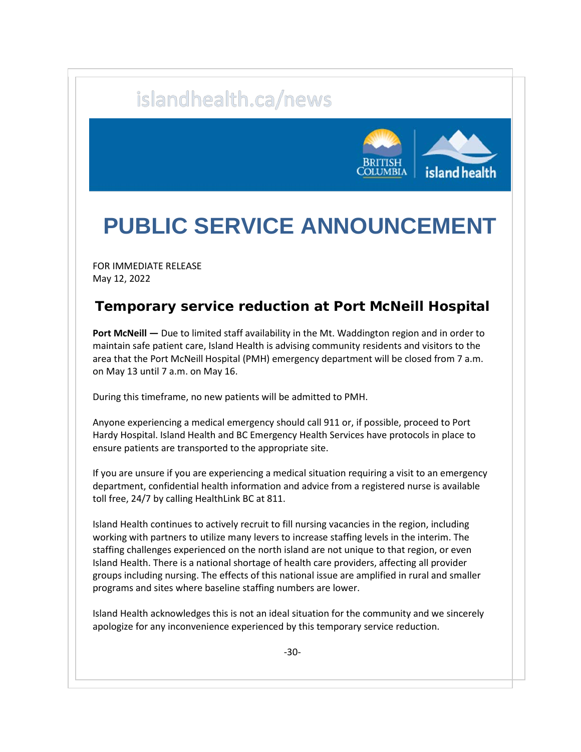## islandhealth.ca/news



## **PUBLIC SERVICE ANNOUNCEMENT**

FOR IMMEDIATE RELEASE May 12, 2022

## **Temporary service reduction at Port McNeill Hospital**

**Port McNeill —** Due to limited staff availability in the Mt. Waddington region and in order to maintain safe patient care, Island Health is advising community residents and visitors to the area that the Port McNeill Hospital (PMH) emergency department will be closed from 7 a.m. on May 13 until 7 a.m. on May 16.

During this timeframe, no new patients will be admitted to PMH.

Anyone experiencing a medical emergency should call 911 or, if possible, proceed to Port Hardy Hospital. Island Health and BC Emergency Health Services have protocols in place to ensure patients are transported to the appropriate site.

If you are unsure if you are experiencing a medical situation requiring a visit to an emergency department, confidential health information and advice from a registered nurse is available toll free, 24/7 by calling HealthLink BC at 811.

Island Health continues to actively recruit to fill nursing vacancies in the region, including working with partners to utilize many levers to increase staffing levels in the interim. The staffing challenges experienced on the north island are not unique to that region, or even Island Health. There is a national shortage of health care providers, affecting all provider groups including nursing. The effects of this national issue are amplified in rural and smaller programs and sites where baseline staffing numbers are lower.

Island Health acknowledges this is not an ideal situation for the community and we sincerely apologize for any inconvenience experienced by this temporary service reduction.